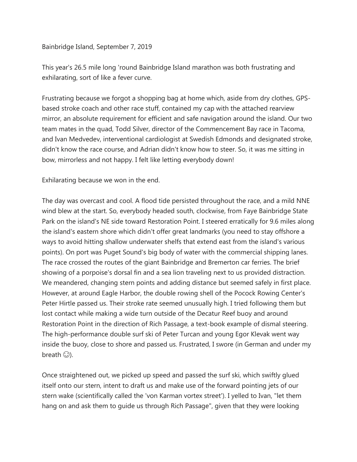## Bainbridge Island, September 7, 2019

This year's 26.5 mile long 'round Bainbridge Island marathon was both frustrating and exhilarating, sort of like a fever curve.

Frustrating because we forgot a shopping bag at home which, aside from dry clothes, GPSbased stroke coach and other race stuff, contained my cap with the attached rearview mirror, an absolute requirement for efficient and safe navigation around the island. Our two team mates in the quad, Todd Silver, director of the Commencement Bay race in Tacoma, and Ivan Medvedev, interventional cardiologist at Swedish Edmonds and designated stroke, didn't know the race course, and Adrian didn't know how to steer. So, it was me sitting in bow, mirrorless and not happy. I felt like letting everybody down!

Exhilarating because we won in the end.

The day was overcast and cool. A flood tide persisted throughout the race, and a mild NNE wind blew at the start. So, everybody headed south, clockwise, from Faye Bainbridge State Park on the island's NE side toward Restoration Point. I steered erratically for 9.6 miles along the island's eastern shore which didn't offer great landmarks (you need to stay offshore a ways to avoid hitting shallow underwater shelfs that extend east from the island's various points). On port was Puget Sound's big body of water with the commercial shipping lanes. The race crossed the routes of the giant Bainbridge and Bremerton car ferries. The brief showing of a porpoise's dorsal fin and a sea lion traveling next to us provided distraction. We meandered, changing stern points and adding distance but seemed safely in first place. However, at around Eagle Harbor, the double rowing shell of the Pocock Rowing Center's Peter Hirtle passed us. Their stroke rate seemed unusually high. I tried following them but lost contact while making a wide turn outside of the Decatur Reef buoy and around Restoration Point in the direction of Rich Passage, a text-book example of dismal steering. The high-performance double surf ski of Peter Turcan and young Egor Klevak went way inside the buoy, close to shore and passed us. Frustrated, I swore (in German and under my breath  $\circled{c}$ ).

Once straightened out, we picked up speed and passed the surf ski, which swiftly glued itself onto our stern, intent to draft us and make use of the forward pointing jets of our stern wake (scientifically called the 'von Karman vortex street'). I yelled to Ivan, "let them hang on and ask them to guide us through Rich Passage", given that they were looking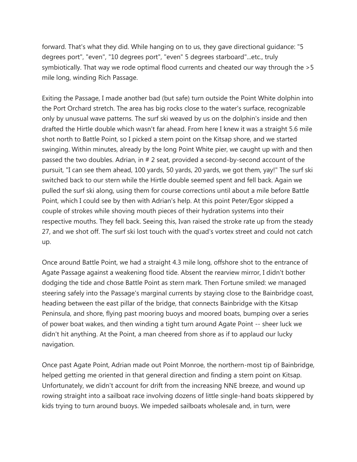forward. That's what they did. While hanging on to us, they gave directional guidance: "5 degrees port", "even", "10 degrees port", "even" 5 degrees starboard"...etc., truly symbiotically. That way we rode optimal flood currents and cheated our way through the >5 mile long, winding Rich Passage.

Exiting the Passage, I made another bad (but safe) turn outside the Point White dolphin into the Port Orchard stretch. The area has big rocks close to the water's surface, recognizable only by unusual wave patterns. The surf ski weaved by us on the dolphin's inside and then drafted the Hirtle double which wasn't far ahead. From here I knew it was a straight 5.6 mile shot north to Battle Point, so I picked a stern point on the Kitsap shore, and we started swinging. Within minutes, already by the long Point White pier, we caught up with and then passed the two doubles. Adrian, in # 2 seat, provided a second-by-second account of the pursuit, "I can see them ahead, 100 yards, 50 yards, 20 yards, we got them, yay!" The surf ski switched back to our stern while the Hirtle double seemed spent and fell back. Again we pulled the surf ski along, using them for course corrections until about a mile before Battle Point, which I could see by then with Adrian's help. At this point Peter/Egor skipped a couple of strokes while shoving mouth pieces of their hydration systems into their respective mouths. They fell back. Seeing this, Ivan raised the stroke rate up from the steady 27, and we shot off. The surf ski lost touch with the quad's vortex street and could not catch up.

Once around Battle Point, we had a straight 4.3 mile long, offshore shot to the entrance of Agate Passage against a weakening flood tide. Absent the rearview mirror, I didn't bother dodging the tide and chose Battle Point as stern mark. Then Fortune smiled: we managed steering safely into the Passage's marginal currents by staying close to the Bainbridge coast, heading between the east pillar of the bridge, that connects Bainbridge with the Kitsap Peninsula, and shore, flying past mooring buoys and moored boats, bumping over a series of power boat wakes, and then winding a tight turn around Agate Point -- sheer luck we didn't hit anything. At the Point, a man cheered from shore as if to applaud our lucky navigation.

Once past Agate Point, Adrian made out Point Monroe, the northern-most tip of Bainbridge, helped getting me oriented in that general direction and finding a stern point on Kitsap. Unfortunately, we didn't account for drift from the increasing NNE breeze, and wound up rowing straight into a sailboat race involving dozens of little single-hand boats skippered by kids trying to turn around buoys. We impeded sailboats wholesale and, in turn, were